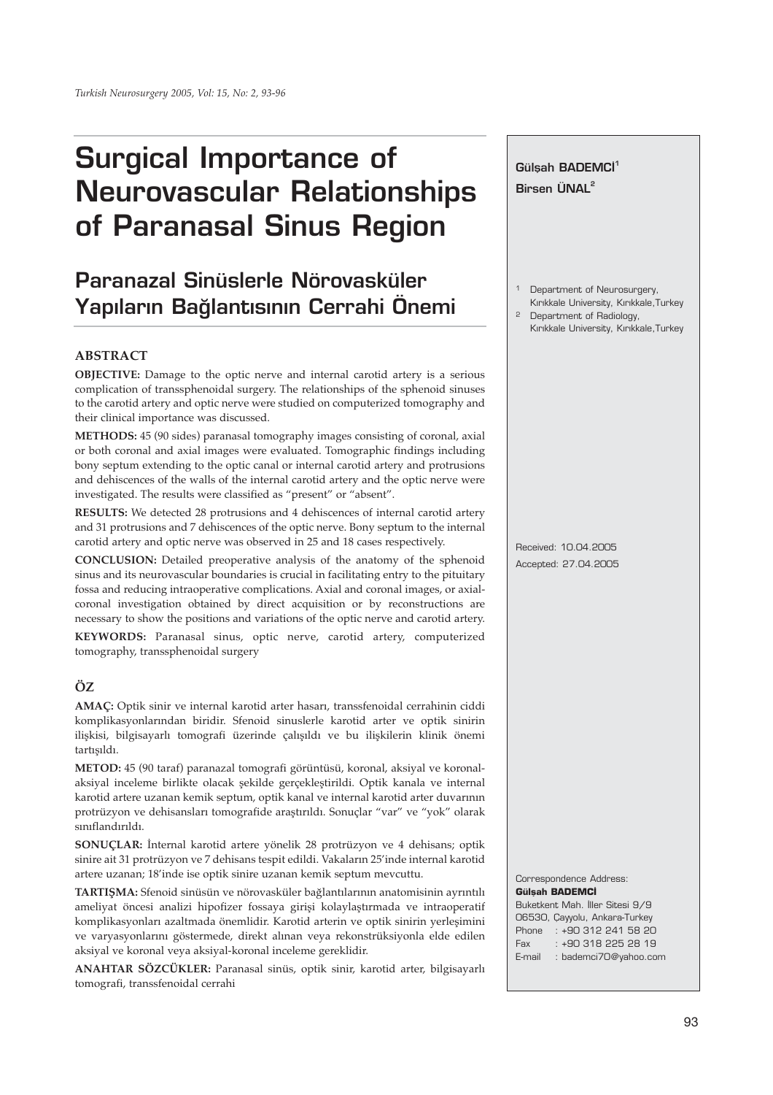# **Surgical Importance of Neurovascular Relationships of Paranasal Sinus Region**

# **Paranazal Sinüslerle Nörovasküler Yap›lar›n Ba¤lant›s›n›n Cerrahi Önemi**

## **ABSTRACT**

**OBJECTIVE:** Damage to the optic nerve and internal carotid artery is a serious complication of transsphenoidal surgery. The relationships of the sphenoid sinuses to the carotid artery and optic nerve were studied on computerized tomography and their clinical importance was discussed.

**METHODS:** 45 (90 sides) paranasal tomography images consisting of coronal, axial or both coronal and axial images were evaluated. Tomographic findings including bony septum extending to the optic canal or internal carotid artery and protrusions and dehiscences of the walls of the internal carotid artery and the optic nerve were investigated. The results were classified as "present" or "absent".

**RESULTS:** We detected 28 protrusions and 4 dehiscences of internal carotid artery and 31 protrusions and 7 dehiscences of the optic nerve. Bony septum to the internal carotid artery and optic nerve was observed in 25 and 18 cases respectively.

**CONCLUSION:** Detailed preoperative analysis of the anatomy of the sphenoid sinus and its neurovascular boundaries is crucial in facilitating entry to the pituitary fossa and reducing intraoperative complications. Axial and coronal images, or axialcoronal investigation obtained by direct acquisition or by reconstructions are necessary to show the positions and variations of the optic nerve and carotid artery.

**KEYWORDS:** Paranasal sinus, optic nerve, carotid artery, computerized tomography, transsphenoidal surgery

## **ÖZ**

**AMAÇ:** Optik sinir ve internal karotid arter hasarı, transsfenoidal cerrahinin ciddi komplikasyonlarından biridir. Sfenoid sinuslerle karotid arter ve optik sinirin ilişkisi, bilgisayarlı tomografi üzerinde çalışıldı ve bu ilişkilerin klinik önemi tartışıldı.

**METOD:** 45 (90 taraf) paranazal tomografi görüntüsü, koronal, aksiyal ve koronalaksiyal inceleme birlikte olacak şekilde gerçekleştirildi. Optik kanala ve internal karotid artere uzanan kemik septum, optik kanal ve internal karotid arter duvarının protrüzyon ve dehisansları tomografide araştırıldı. Sonuçlar "var" ve "yok" olarak sınıflandırıldı.

**SONUÇLAR:** İnternal karotid artere yönelik 28 protrüzyon ve 4 dehisans; optik sinire ait 31 protrüzyon ve 7 dehisans tespit edildi. Vakaların 25'inde internal karotid artere uzanan; 18'inde ise optik sinire uzanan kemik septum mevcuttu.

**TARTIŞMA:** Sfenoid sinüsün ve nörovasküler bağlantılarının anatomisinin ayrıntılı ameliyat öncesi analizi hipofizer fossaya girişi kolaylaştırmada ve intraoperatif komplikasyonları azaltmada önemlidir. Karotid arterin ve optik sinirin yerleşimini ve varyasyonlarını göstermede, direkt alınan veya rekonstrüksiyonla elde edilen aksiyal ve koronal veya aksiyal-koronal inceleme gereklidir.

**ANAHTAR SÖZCÜKLER:** Paranasal sinüs, optik sinir, karotid arter, bilgisayarlı tomografi, transsfenoidal cerrahi

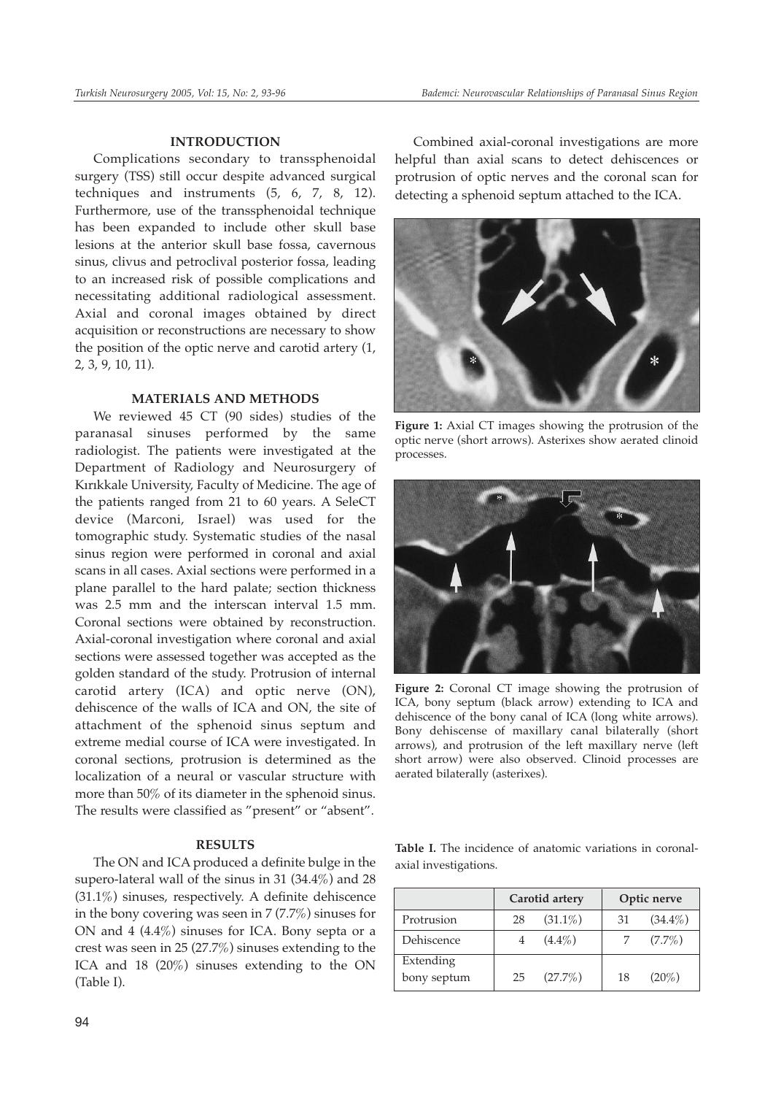#### **INTRODUCTION**

Complications secondary to transsphenoidal surgery (TSS) still occur despite advanced surgical techniques and instruments (5, 6, 7, 8, 12). Furthermore, use of the transsphenoidal technique has been expanded to include other skull base lesions at the anterior skull base fossa, cavernous sinus, clivus and petroclival posterior fossa, leading to an increased risk of possible complications and necessitating additional radiological assessment. Axial and coronal images obtained by direct acquisition or reconstructions are necessary to show the position of the optic nerve and carotid artery (1, 2, 3, 9, 10, 11).

#### **MATERIALS AND METHODS**

We reviewed 45 CT (90 sides) studies of the paranasal sinuses performed by the same radiologist. The patients were investigated at the Department of Radiology and Neurosurgery of Kırıkkale University, Faculty of Medicine. The age of the patients ranged from 21 to 60 years. A SeleCT device (Marconi, Israel) was used for the tomographic study. Systematic studies of the nasal sinus region were performed in coronal and axial scans in all cases. Axial sections were performed in a plane parallel to the hard palate; section thickness was 2.5 mm and the interscan interval 1.5 mm. Coronal sections were obtained by reconstruction. Axial-coronal investigation where coronal and axial sections were assessed together was accepted as the golden standard of the study. Protrusion of internal carotid artery (ICA) and optic nerve (ON), dehiscence of the walls of ICA and ON, the site of attachment of the sphenoid sinus septum and extreme medial course of ICA were investigated. In coronal sections, protrusion is determined as the localization of a neural or vascular structure with more than 50% of its diameter in the sphenoid sinus. The results were classified as "present" or "absent".

#### **RESULTS**

The ON and ICA produced a definite bulge in the supero-lateral wall of the sinus in 31 (34.4%) and 28 (31.1%) sinuses, respectively. A definite dehiscence in the bony covering was seen in  $7(7.7%)$  sinuses for ON and 4 (4.4%) sinuses for ICA. Bony septa or a crest was seen in 25 (27.7%) sinuses extending to the ICA and 18 (20%) sinuses extending to the ON (Table I).

Combined axial-coronal investigations are more helpful than axial scans to detect dehiscences or protrusion of optic nerves and the coronal scan for detecting a sphenoid septum attached to the ICA.



**Figure 1:** Axial CT images showing the protrusion of the optic nerve (short arrows). Asterixes show aerated clinoid processes.



**Figure 2:** Coronal CT image showing the protrusion of ICA, bony septum (black arrow) extending to ICA and dehiscence of the bony canal of ICA (long white arrows). Bony dehiscense of maxillary canal bilaterally (short arrows), and protrusion of the left maxillary nerve (left short arrow) were also observed. Clinoid processes are aerated bilaterally (asterixes).

|  |                       |  | <b>Table I.</b> The incidence of anatomic variations in coronal- |  |
|--|-----------------------|--|------------------------------------------------------------------|--|
|  | axial investigations. |  |                                                                  |  |

|             |    | Carotid artery | Optic nerve |            |  |
|-------------|----|----------------|-------------|------------|--|
| Protrusion  | 28 | $(31.1\%)$     | 31          | $(34.4\%)$ |  |
| Dehiscence  |    | $(4.4\%)$      |             | $(7.7\%)$  |  |
| Extending   |    |                |             |            |  |
| bony septum | 25 | $(27.7\%)$     | 18          | $(20\%)$   |  |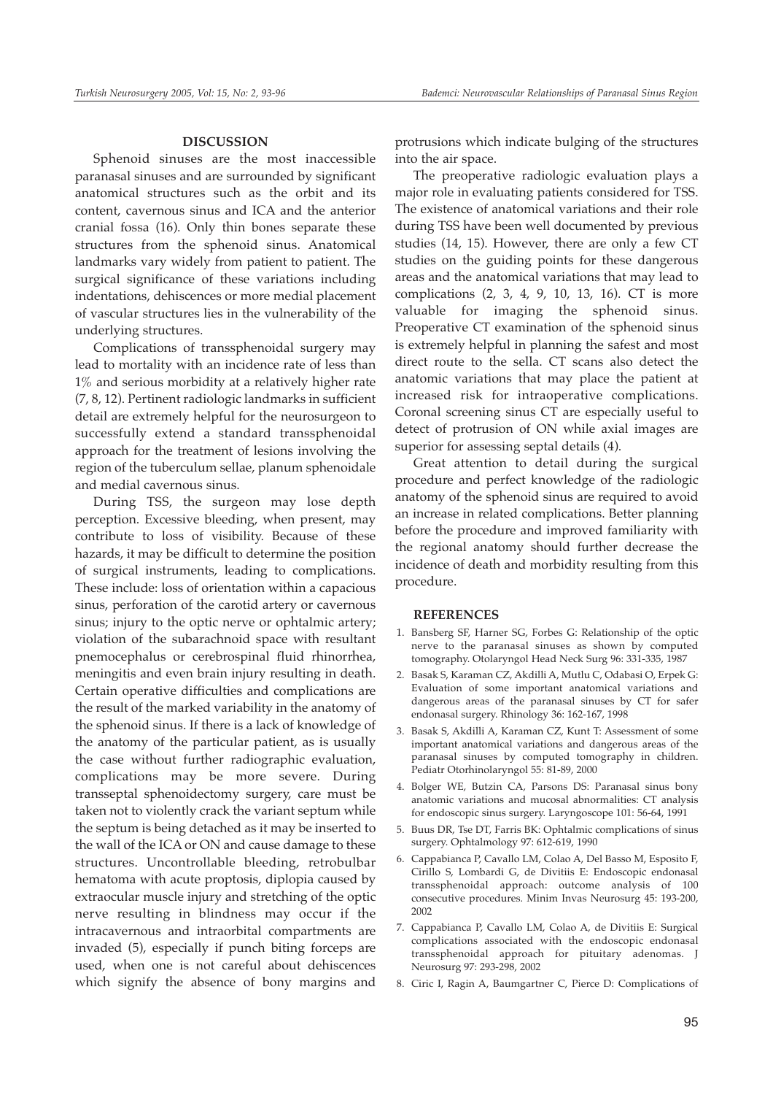#### **DISCUSSION**

Sphenoid sinuses are the most inaccessible paranasal sinuses and are surrounded by significant anatomical structures such as the orbit and its content, cavernous sinus and ICA and the anterior cranial fossa (16). Only thin bones separate these structures from the sphenoid sinus. Anatomical landmarks vary widely from patient to patient. The surgical significance of these variations including indentations, dehiscences or more medial placement of vascular structures lies in the vulnerability of the underlying structures.

Complications of transsphenoidal surgery may lead to mortality with an incidence rate of less than 1% and serious morbidity at a relatively higher rate (7, 8, 12). Pertinent radiologic landmarks in sufficient detail are extremely helpful for the neurosurgeon to successfully extend a standard transsphenoidal approach for the treatment of lesions involving the region of the tuberculum sellae, planum sphenoidale and medial cavernous sinus.

During TSS, the surgeon may lose depth perception. Excessive bleeding, when present, may contribute to loss of visibility. Because of these hazards, it may be difficult to determine the position of surgical instruments, leading to complications. These include: loss of orientation within a capacious sinus, perforation of the carotid artery or cavernous sinus; injury to the optic nerve or ophtalmic artery; violation of the subarachnoid space with resultant pnemocephalus or cerebrospinal fluid rhinorrhea, meningitis and even brain injury resulting in death. Certain operative difficulties and complications are the result of the marked variability in the anatomy of the sphenoid sinus. If there is a lack of knowledge of the anatomy of the particular patient, as is usually the case without further radiographic evaluation, complications may be more severe. During transseptal sphenoidectomy surgery, care must be taken not to violently crack the variant septum while the septum is being detached as it may be inserted to the wall of the ICA or ON and cause damage to these structures. Uncontrollable bleeding, retrobulbar hematoma with acute proptosis, diplopia caused by extraocular muscle injury and stretching of the optic nerve resulting in blindness may occur if the intracavernous and intraorbital compartments are invaded (5), especially if punch biting forceps are used, when one is not careful about dehiscences which signify the absence of bony margins and

protrusions which indicate bulging of the structures into the air space.

The preoperative radiologic evaluation plays a major role in evaluating patients considered for TSS. The existence of anatomical variations and their role during TSS have been well documented by previous studies (14, 15). However, there are only a few CT studies on the guiding points for these dangerous areas and the anatomical variations that may lead to complications (2, 3, 4, 9, 10, 13, 16). CT is more valuable for imaging the sphenoid sinus. Preoperative CT examination of the sphenoid sinus is extremely helpful in planning the safest and most direct route to the sella. CT scans also detect the anatomic variations that may place the patient at increased risk for intraoperative complications. Coronal screening sinus CT are especially useful to detect of protrusion of ON while axial images are superior for assessing septal details (4).

Great attention to detail during the surgical procedure and perfect knowledge of the radiologic anatomy of the sphenoid sinus are required to avoid an increase in related complications. Better planning before the procedure and improved familiarity with the regional anatomy should further decrease the incidence of death and morbidity resulting from this procedure.

#### **REFERENCES**

- 1. Bansberg SF, Harner SG, Forbes G: Relationship of the optic nerve to the paranasal sinuses as shown by computed tomography. Otolaryngol Head Neck Surg 96: 331-335, 1987
- 2. Basak S, Karaman CZ, Akdilli A, Mutlu C, Odabasi O, Erpek G: Evaluation of some important anatomical variations and dangerous areas of the paranasal sinuses by CT for safer endonasal surgery. Rhinology 36: 162-167, 1998
- 3. Basak S, Akdilli A, Karaman CZ, Kunt T: Assessment of some important anatomical variations and dangerous areas of the paranasal sinuses by computed tomography in children. Pediatr Otorhinolaryngol 55: 81-89, 2000
- 4. Bolger WE, Butzin CA, Parsons DS: Paranasal sinus bony anatomic variations and mucosal abnormalities: CT analysis for endoscopic sinus surgery. Laryngoscope 101: 56-64, 1991
- 5. Buus DR, Tse DT, Farris BK: Ophtalmic complications of sinus surgery. Ophtalmology 97: 612-619, 1990
- 6. Cappabianca P, Cavallo LM, Colao A, Del Basso M, Esposito F, Cirillo S, Lombardi G, de Divitiis E: Endoscopic endonasal transsphenoidal approach: outcome analysis of 100 consecutive procedures. Minim Invas Neurosurg 45: 193-200, 2002
- 7. Cappabianca P, Cavallo LM, Colao A, de Divitiis E: Surgical complications associated with the endoscopic endonasal transsphenoidal approach for pituitary adenomas. J Neurosurg 97: 293-298, 2002
- 8. Ciric I, Ragin A, Baumgartner C, Pierce D: Complications of